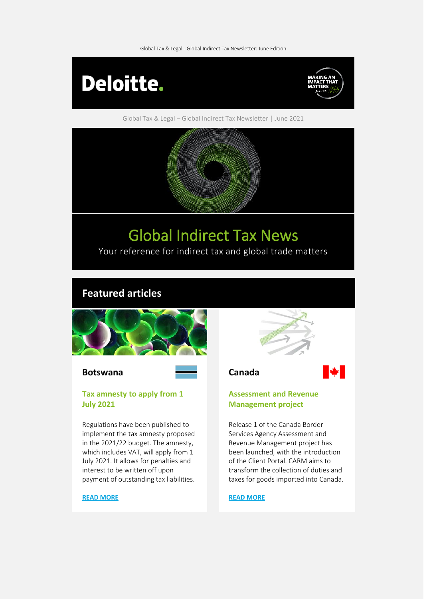Global Tax & Legal - Global Indirect Tax Newsletter: June Edition



Global Tax & Legal – Global Indirect Tax Newsletter | June 2021



# Global Indirect Tax News

Your reference for indirect tax and global trade matters

# **Featured articles**



#### **Botswana Canada**

#### **Tax amnesty to apply from 1 July 2021**

Regulations have been published to implement the tax amnesty proposed in the 2021/22 budget. The amnesty, which includes VAT, will apply from 1 July 2021. It allows for penalties and interest to be written off upon payment of outstanding tax liabilities.

#### **[READ MORE](https://www.taxathand.com/article/18761/Botswana/2021/Tax-amnesty-to-apply-as-from-1-July-2021)**





#### **Assessment and Revenue Management project**

Release 1 of the Canada Border Services Agency Assessment and Revenue Management project has been launched, with the introduction of the Client Portal. CARM aims to transform the collection of duties and taxes for goods imported into Canada.

#### **[READ MORE](https://www.taxathand.com/article/18755/Canada/2021/CBSA-launches-first-phase-of-Assessment-and-Revenue-Management-project)**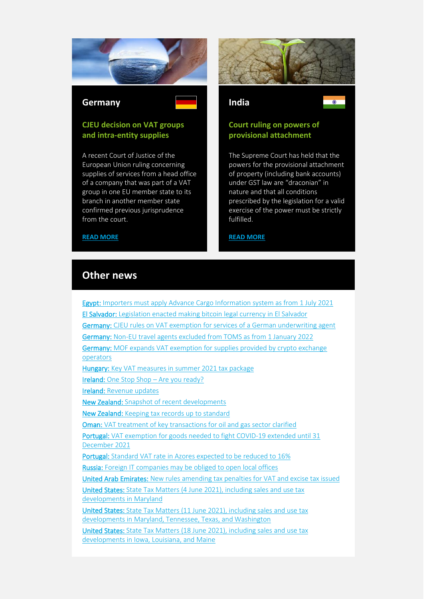

#### **Germany India**

### **CJEU decision on VAT groups and intra-entity supplies**

A recent Court of Justice of the European Union ruling concerning supplies of services from a head office of a company that was part of a VAT group in one EU member state to its branch in another member state confirmed previous jurisprudence from the court.





### **Court ruling on powers of provisional attachment**

The Supreme Court has held that the powers for the provisional attachment of property (including bank accounts) under GST law are "draconian" in nature and that all conditions prescribed by the legislation for a valid exercise of the power must be strictly fulfilled.

#### **[READ MORE](https://www.taxathand.com/article/18695/India/2021/Supreme-Court-rules-powers-of-provisional-attachment-under-GST-law-are-excessive)**

## **Other news**

**[READ MORE](https://www.taxathand.com/article/18704/Germany/2021/CJEU-decision-issued-on-VAT-groups-and-intra-entity-supplies-A-German-perspective)**